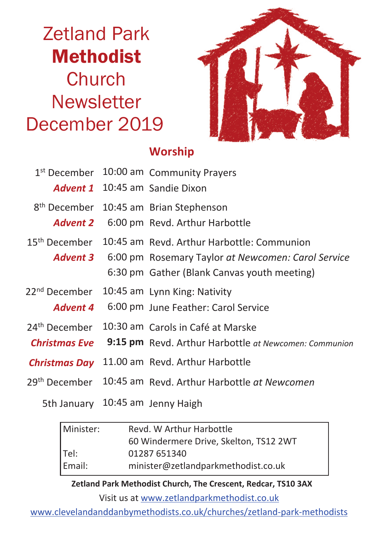# Zetland Park Methodist **Church Newsletter** December 2019



#### **Worship**

|                           | 1st December 10:00 am Community Prayers                            |  |
|---------------------------|--------------------------------------------------------------------|--|
|                           | <b>Advent 1</b> 10:45 am Sandie Dixon                              |  |
|                           | 8 <sup>th</sup> December 10:45 am Brian Stephenson                 |  |
|                           | <b>Advent 2</b> 6:00 pm Revd. Arthur Harbottle                     |  |
| 15 <sup>th</sup> December | 10:45 am Revd. Arthur Harbottle: Communion                         |  |
|                           | <b>Advent 3</b> 6:00 pm Rosemary Taylor at Newcomen: Carol Service |  |
|                           | 6:30 pm Gather (Blank Canvas youth meeting)                        |  |
| 22 <sup>nd</sup> December | 10:45 am Lynn King: Nativity                                       |  |
| Advent 4                  | 6:00 pm June Feather: Carol Service                                |  |
| 24 <sup>th</sup> December | 10:30 am Carols in Café at Marske                                  |  |
| <b>Christmas Eve</b>      | 9:15 pm Revd. Arthur Harbottle at Newcomen: Communion              |  |
| <b>Christmas Day</b>      | 11.00 am Revd. Arthur Harbottle                                    |  |
|                           | 29th December 10:45 am Revd. Arthur Harbottle at Newcomen          |  |

5th January 10:45 am Jenny Haigh

| Minister: | Revd. W Arthur Harbottle               |  |  |
|-----------|----------------------------------------|--|--|
|           | 60 Windermere Drive, Skelton, TS12 2WT |  |  |
| $ $ Tel:  | 01287 651340                           |  |  |
| Email:    | minister@zetlandparkmethodist.co.uk    |  |  |

**Zetland Park Methodist Church, The Crescent, Redcar, TS10 3AX**

Visit us at www.zetlandparkmethodist.co.uk

www.clevelandanddanbymethodists.co.uk/churches/zetland-park-methodists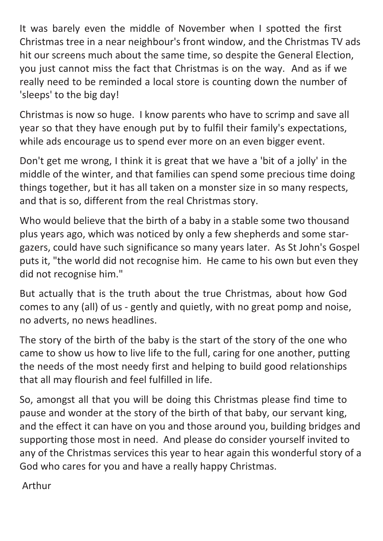It was barely even the middle of November when I spotted the first Christmas tree in a near neighbour's front window, and the Christmas TV ads hit our screens much about the same time, so despite the General Election, you just cannot miss the fact that Christmas is on the way. And as if we really need to be reminded a local store is counting down the number of 'sleeps' to the big day!

Christmas is now so huge. I know parents who have to scrimp and save all year so that they have enough put by to fulfil their family's expectations, while ads encourage us to spend ever more on an even bigger event.

Don't get me wrong, I think it is great that we have a 'bit of a jolly' in the middle of the winter, and that families can spend some precious time doing things together, but it has all taken on a monster size in so many respects, and that is so, different from the real Christmas story.

Who would believe that the birth of a baby in a stable some two thousand plus years ago, which was noticed by only a few shepherds and some stargazers, could have such significance so many years later. As St John's Gospel puts it, "the world did not recognise him. He came to his own but even they did not recognise him."

But actually that is the truth about the true Christmas, about how God comes to any (all) of us - gently and quietly, with no great pomp and noise, no adverts, no news headlines.

The story of the birth of the baby is the start of the story of the one who came to show us how to live life to the full, caring for one another, putting the needs of the most needy first and helping to build good relationships that all may flourish and feel fulfilled in life.

So, amongst all that you will be doing this Christmas please find time to pause and wonder at the story of the birth of that baby, our servant king, and the effect it can have on you and those around you, building bridges and supporting those most in need. And please do consider yourself invited to any of the Christmas services this year to hear again this wonderful story of a God who cares for you and have a really happy Christmas.

Arthur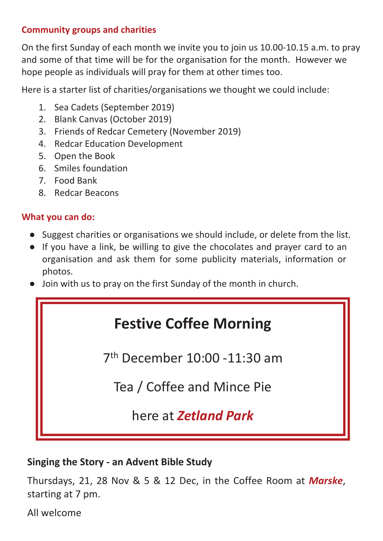#### **Community groups and charities**

On the first Sunday of each month we invite you to join us 10.00-10.15 a.m. to pray and some of that time will be for the organisation for the month. However we hope people as individuals will pray for them at other times too.

Here is a starter list of charities/organisations we thought we could include:

- 1. Sea Cadets (September 2019)
- 2. Blank Canvas (October 2019)
- 3. Friends of Redcar Cemetery (November 2019)
- 4. Redcar Education Development
- 5. Open the Book
- 6. Smiles foundation
- 7. Food Bank
- 8. Redcar Beacons

#### **What you can do:**

- Suggest charities or organisations we should include, or delete from the list.
- If you have a link, be willing to give the chocolates and prayer card to an organisation and ask them for some publicity materials, information or photos.
- Join with us to pray on the first Sunday of the month in church.

## **Festive Coffee Morning**

7 th December 10:00 -11:30 am

Tea / Coffee and Mince Pie

here at *Zetland Park*

#### **Singing the Story - an Advent Bible Study**

Thursdays, 21, 28 Nov & 5 & 12 Dec, in the Coffee Room at *Marske*, starting at 7 pm.

All welcome